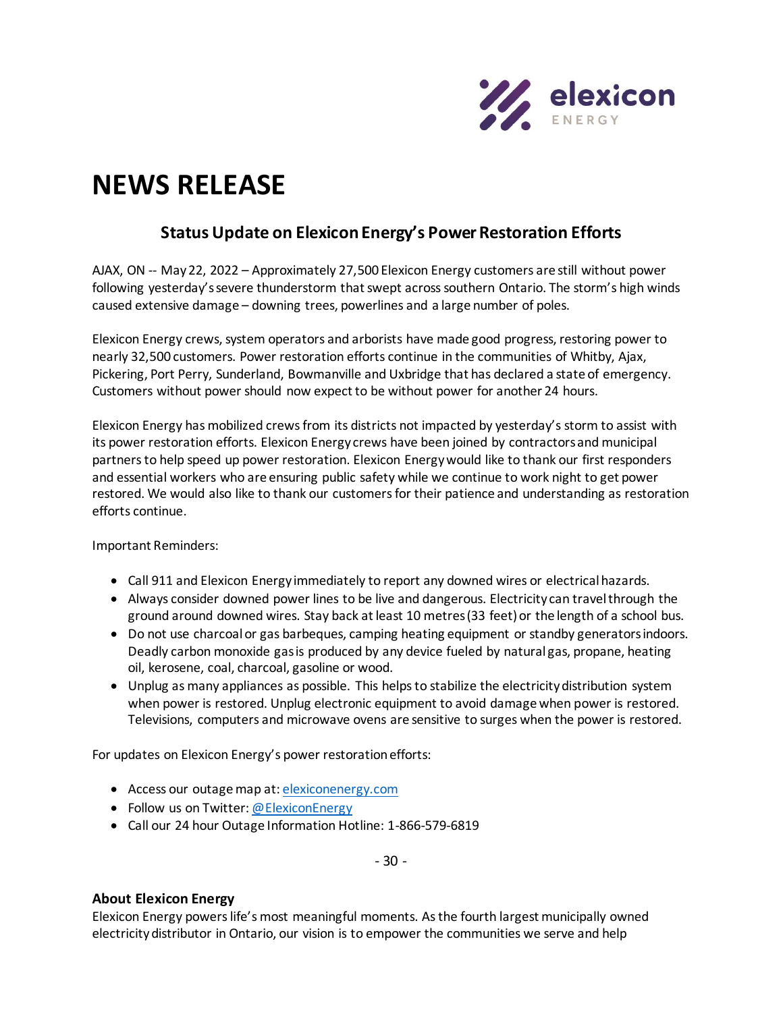

## **NEWS RELEASE**

## **Status Update on Elexicon Energy's Power Restoration Efforts**

AJAX, ON -- May 22, 2022 – Approximately 27,500 Elexicon Energy customers are still without power following yesterday's severe thunderstorm that swept across southern Ontario. The storm's high winds caused extensive damage – downing trees, powerlines and a large number of poles.

Elexicon Energy crews, system operators and arborists have made good progress, restoring power to nearly 32,500 customers. Power restoration efforts continue in the communities of Whitby, Ajax, Pickering, Port Perry, Sunderland, Bowmanville and Uxbridge that has declared a state of emergency. Customers without power should now expect to be without power for another 24 hours.

Elexicon Energy has mobilized crews from its districts not impacted by yesterday's storm to assist with its power restoration efforts. Elexicon Energy crews have been joined by contractors and municipal partners to help speed up power restoration. Elexicon Energy would like to thank our first responders and essential workers who are ensuring public safety while we continue to work night to get power restored. We would also like to thank our customers for their patience and understanding as restoration efforts continue.

Important Reminders:

- Call 911 and Elexicon Energy immediately to report any downed wires or electrical hazards.
- Always consider downed power lines to be live and dangerous. Electricity can travel through the ground around downed wires. Stay back at least 10 metres (33 feet) or the length of a school bus.
- Do not use charcoal or gas barbeques, camping heating equipment or standby generators indoors. Deadly carbon monoxide gas is produced by any device fueled by natural gas, propane, heating oil, kerosene, coal, charcoal, gasoline or wood.
- Unplug as many appliances as possible. This helps to stabilize the electricity distribution system when power is restored. Unplug electronic equipment to avoid damage when power is restored. Televisions, computers and microwave ovens are sensitive to surges when the power is restored.

For updates on Elexicon Energy's power restoration efforts:

- Access our outage map at[: elexiconenergy.com](http://www.elexiconenergy.com/)
- Follow us on Twitter[: @ElexiconEnergy](http://www.twitter.com/ElexiconEnergy)
- Call our 24 hour Outage Information Hotline: 1-866-579-6819

- 30 -

## **About Elexicon Energy**

Elexicon Energy powers life's most meaningful moments. As the fourth largest municipally owned electricity distributor in Ontario, our vision is to empower the communities we serve and help